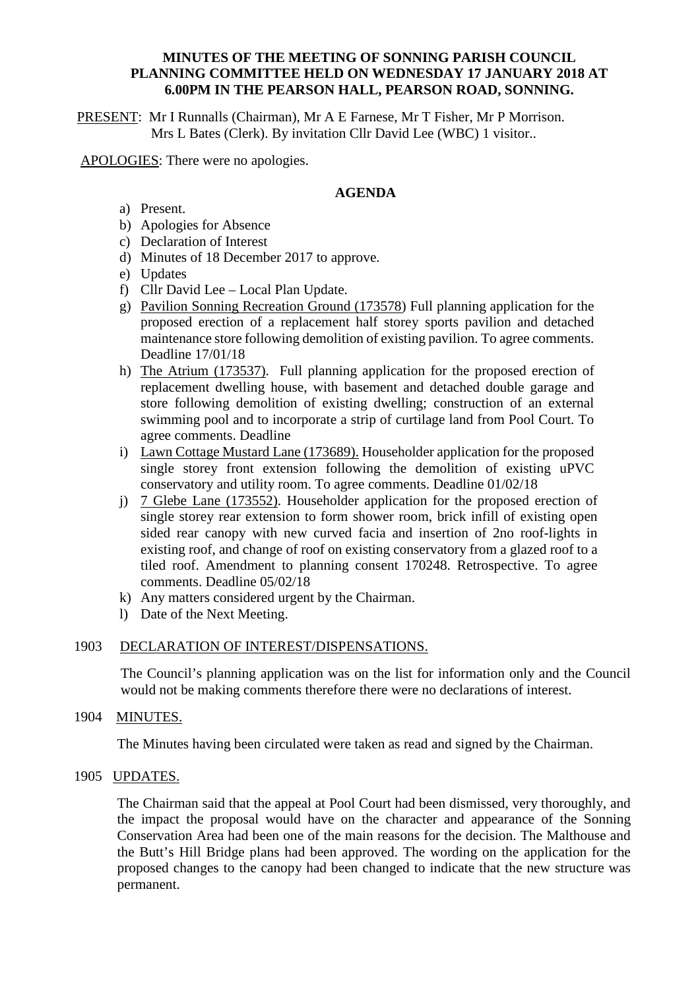#### **MINUTES OF THE MEETING OF SONNING PARISH COUNCIL PLANNING COMMITTEE HELD ON WEDNESDAY 17 JANUARY 2018 AT 6.00PM IN THE PEARSON HALL, PEARSON ROAD, SONNING.**

PRESENT: Mr I Runnalls (Chairman), Mr A E Farnese, Mr T Fisher, Mr P Morrison. Mrs L Bates (Clerk). By invitation Cllr David Lee (WBC) 1 visitor..

APOLOGIES: There were no apologies.

# **AGENDA**

- a) Present.
- b) Apologies for Absence
- c) Declaration of Interest
- d) Minutes of 18 December 2017 to approve.
- e) Updates
- f) Cllr David Lee Local Plan Update.
- g) Pavilion Sonning Recreation Ground (173578) Full planning application for the proposed erection of a replacement half storey sports pavilion and detached maintenance store following demolition of existing pavilion. To agree comments. Deadline 17/01/18
- h) The Atrium (173537). Full planning application for the proposed erection of replacement dwelling house, with basement and detached double garage and store following demolition of existing dwelling; construction of an external swimming pool and to incorporate a strip of curtilage land from Pool Court. To agree comments. Deadline
- i) Lawn Cottage Mustard Lane (173689). Householder application for the proposed single storey front extension following the demolition of existing uPVC conservatory and utility room. To agree comments. Deadline 01/02/18
- j) 7 Glebe Lane (173552). Householder application for the proposed erection of single storey rear extension to form shower room, brick infill of existing open sided rear canopy with new curved facia and insertion of 2no roof-lights in existing roof, and change of roof on existing conservatory from a glazed roof to a tiled roof. Amendment to planning consent 170248. Retrospective. To agree comments. Deadline 05/02/18
- k) Any matters considered urgent by the Chairman.
- l) Date of the Next Meeting.

## 1903 DECLARATION OF INTEREST/DISPENSATIONS.

The Council's planning application was on the list for information only and the Council would not be making comments therefore there were no declarations of interest.

## 1904 MINUTES.

The Minutes having been circulated were taken as read and signed by the Chairman.

## 1905 UPDATES.

The Chairman said that the appeal at Pool Court had been dismissed, very thoroughly, and the impact the proposal would have on the character and appearance of the Sonning Conservation Area had been one of the main reasons for the decision. The Malthouse and the Butt's Hill Bridge plans had been approved. The wording on the application for the proposed changes to the canopy had been changed to indicate that the new structure was permanent.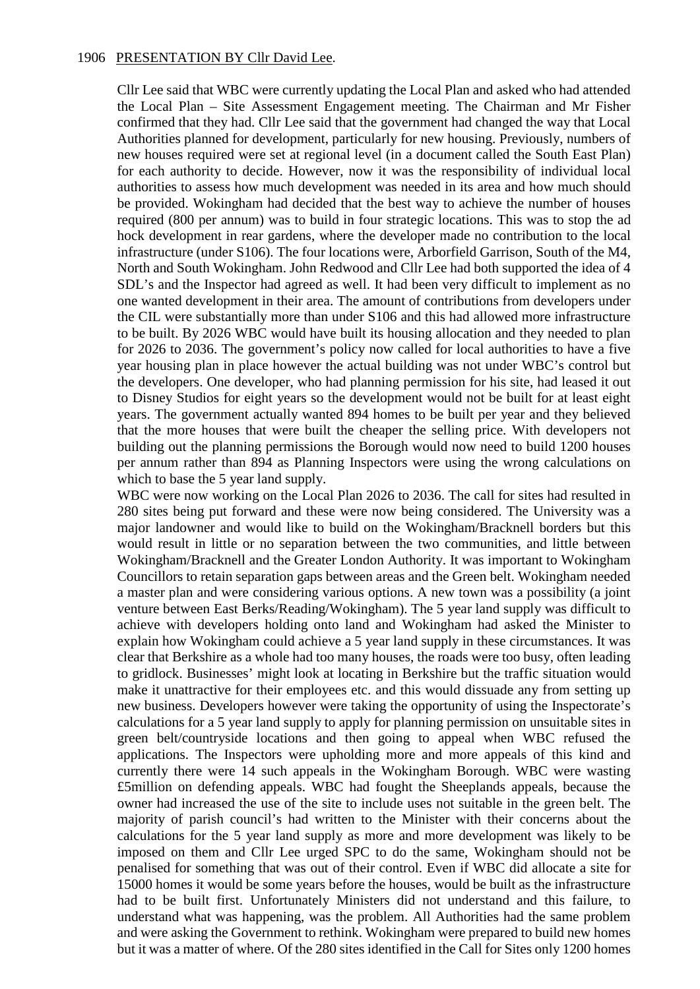Cllr Lee said that WBC were currently updating the Local Plan and asked who had attended the Local Plan – Site Assessment Engagement meeting. The Chairman and Mr Fisher confirmed that they had. Cllr Lee said that the government had changed the way that Local Authorities planned for development, particularly for new housing. Previously, numbers of new houses required were set at regional level (in a document called the South East Plan) for each authority to decide. However, now it was the responsibility of individual local authorities to assess how much development was needed in its area and how much should be provided. Wokingham had decided that the best way to achieve the number of houses required (800 per annum) was to build in four strategic locations. This was to stop the ad hock development in rear gardens, where the developer made no contribution to the local infrastructure (under S106). The four locations were, Arborfield Garrison, South of the M4, North and South Wokingham. John Redwood and Cllr Lee had both supported the idea of 4 SDL's and the Inspector had agreed as well. It had been very difficult to implement as no one wanted development in their area. The amount of contributions from developers under the CIL were substantially more than under S106 and this had allowed more infrastructure to be built. By 2026 WBC would have built its housing allocation and they needed to plan for 2026 to 2036. The government's policy now called for local authorities to have a five year housing plan in place however the actual building was not under WBC's control but the developers. One developer, who had planning permission for his site, had leased it out to Disney Studios for eight years so the development would not be built for at least eight years. The government actually wanted 894 homes to be built per year and they believed that the more houses that were built the cheaper the selling price. With developers not building out the planning permissions the Borough would now need to build 1200 houses per annum rather than 894 as Planning Inspectors were using the wrong calculations on which to base the 5 year land supply.

WBC were now working on the Local Plan 2026 to 2036. The call for sites had resulted in 280 sites being put forward and these were now being considered. The University was a major landowner and would like to build on the Wokingham/Bracknell borders but this would result in little or no separation between the two communities, and little between Wokingham/Bracknell and the Greater London Authority. It was important to Wokingham Councillors to retain separation gaps between areas and the Green belt. Wokingham needed a master plan and were considering various options. A new town was a possibility (a joint venture between East Berks/Reading/Wokingham). The 5 year land supply was difficult to achieve with developers holding onto land and Wokingham had asked the Minister to explain how Wokingham could achieve a 5 year land supply in these circumstances. It was clear that Berkshire as a whole had too many houses, the roads were too busy, often leading to gridlock. Businesses' might look at locating in Berkshire but the traffic situation would make it unattractive for their employees etc. and this would dissuade any from setting up new business. Developers however were taking the opportunity of using the Inspectorate's calculations for a 5 year land supply to apply for planning permission on unsuitable sites in green belt/countryside locations and then going to appeal when WBC refused the applications. The Inspectors were upholding more and more appeals of this kind and currently there were 14 such appeals in the Wokingham Borough. WBC were wasting £5million on defending appeals. WBC had fought the Sheeplands appeals, because the owner had increased the use of the site to include uses not suitable in the green belt. The majority of parish council's had written to the Minister with their concerns about the calculations for the 5 year land supply as more and more development was likely to be imposed on them and Cllr Lee urged SPC to do the same, Wokingham should not be penalised for something that was out of their control. Even if WBC did allocate a site for 15000 homes it would be some years before the houses, would be built as the infrastructure had to be built first. Unfortunately Ministers did not understand and this failure, to understand what was happening, was the problem. All Authorities had the same problem and were asking the Government to rethink. Wokingham were prepared to build new homes but it was a matter of where. Of the 280 sites identified in the Call for Sites only 1200 homes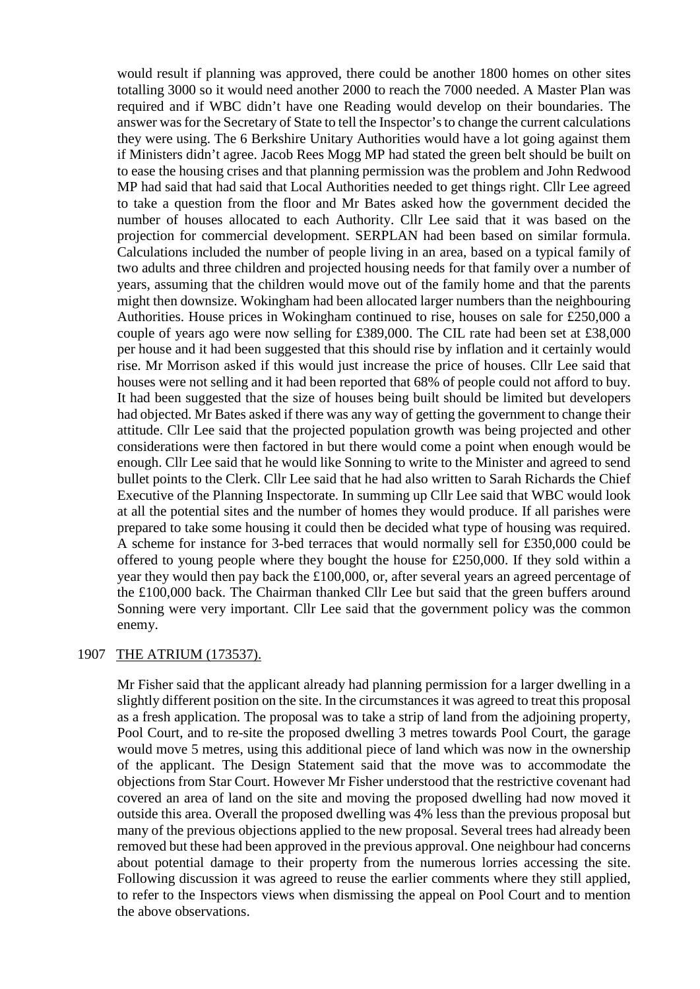would result if planning was approved, there could be another 1800 homes on other sites totalling 3000 so it would need another 2000 to reach the 7000 needed. A Master Plan was required and if WBC didn't have one Reading would develop on their boundaries. The answer was for the Secretary of State to tell the Inspector's to change the current calculations they were using. The 6 Berkshire Unitary Authorities would have a lot going against them if Ministers didn't agree. Jacob Rees Mogg MP had stated the green belt should be built on to ease the housing crises and that planning permission was the problem and John Redwood MP had said that had said that Local Authorities needed to get things right. Cllr Lee agreed to take a question from the floor and Mr Bates asked how the government decided the number of houses allocated to each Authority. Cllr Lee said that it was based on the projection for commercial development. SERPLAN had been based on similar formula. Calculations included the number of people living in an area, based on a typical family of two adults and three children and projected housing needs for that family over a number of years, assuming that the children would move out of the family home and that the parents might then downsize. Wokingham had been allocated larger numbers than the neighbouring Authorities. House prices in Wokingham continued to rise, houses on sale for £250,000 a couple of years ago were now selling for £389,000. The CIL rate had been set at £38,000 per house and it had been suggested that this should rise by inflation and it certainly would rise. Mr Morrison asked if this would just increase the price of houses. Cllr Lee said that houses were not selling and it had been reported that 68% of people could not afford to buy. It had been suggested that the size of houses being built should be limited but developers had objected. Mr Bates asked if there was any way of getting the government to change their attitude. Cllr Lee said that the projected population growth was being projected and other considerations were then factored in but there would come a point when enough would be enough. Cllr Lee said that he would like Sonning to write to the Minister and agreed to send bullet points to the Clerk. Cllr Lee said that he had also written to Sarah Richards the Chief Executive of the Planning Inspectorate. In summing up Cllr Lee said that WBC would look at all the potential sites and the number of homes they would produce. If all parishes were prepared to take some housing it could then be decided what type of housing was required. A scheme for instance for 3-bed terraces that would normally sell for £350,000 could be offered to young people where they bought the house for £250,000. If they sold within a year they would then pay back the £100,000, or, after several years an agreed percentage of the £100,000 back. The Chairman thanked Cllr Lee but said that the green buffers around Sonning were very important. Cllr Lee said that the government policy was the common enemy.

#### 1907 THE ATRIUM (173537).

Mr Fisher said that the applicant already had planning permission for a larger dwelling in a slightly different position on the site. In the circumstances it was agreed to treat this proposal as a fresh application. The proposal was to take a strip of land from the adjoining property, Pool Court, and to re-site the proposed dwelling 3 metres towards Pool Court, the garage would move 5 metres, using this additional piece of land which was now in the ownership of the applicant. The Design Statement said that the move was to accommodate the objections from Star Court. However Mr Fisher understood that the restrictive covenant had covered an area of land on the site and moving the proposed dwelling had now moved it outside this area. Overall the proposed dwelling was 4% less than the previous proposal but many of the previous objections applied to the new proposal. Several trees had already been removed but these had been approved in the previous approval. One neighbour had concerns about potential damage to their property from the numerous lorries accessing the site. Following discussion it was agreed to reuse the earlier comments where they still applied, to refer to the Inspectors views when dismissing the appeal on Pool Court and to mention the above observations.